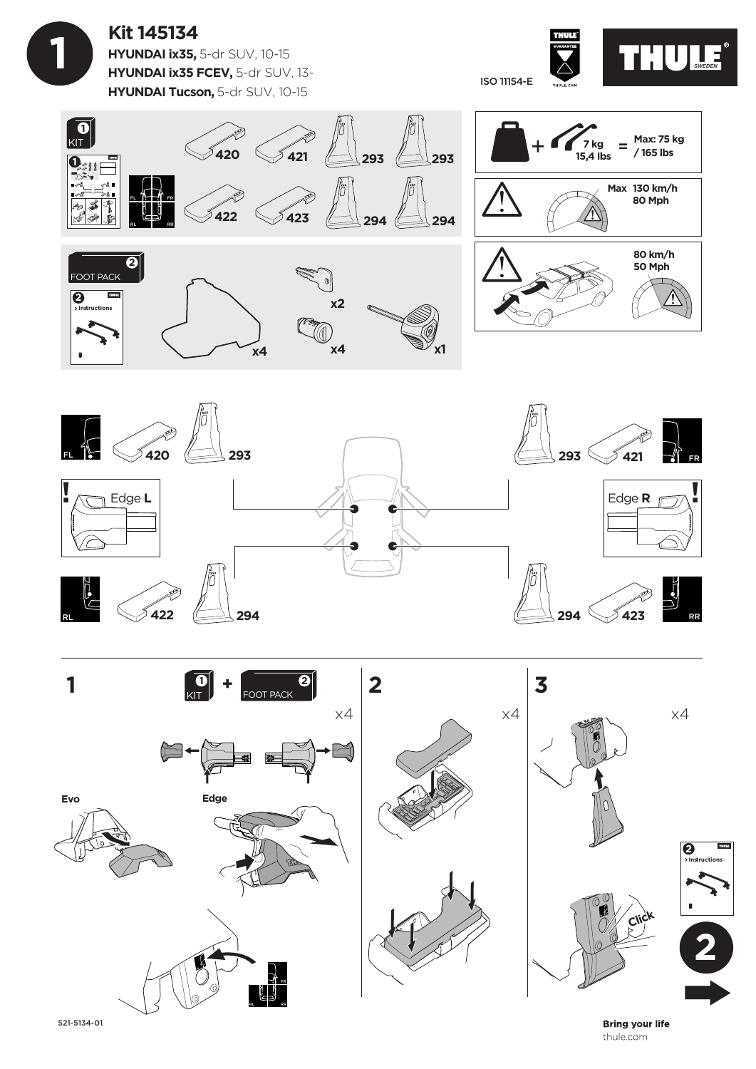**Kit 145134 HYUNDAI ix35,** 5-dr SUV, 10-15 **HYUNDAI ix35 FCEV,** 5-dr SUV, 13- **HYUNDAI Tucson,** 5-dr SUV, 10-15

 **1**









521-5134-01

**Bring your life** thule.com